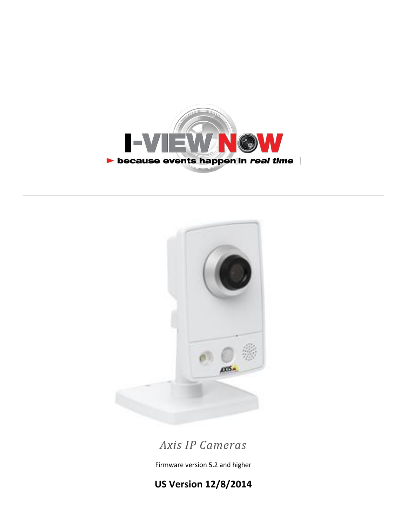



# *Axis IP Cameras*

Firmware version 5.2 and higher

**US Version 12/8/2014**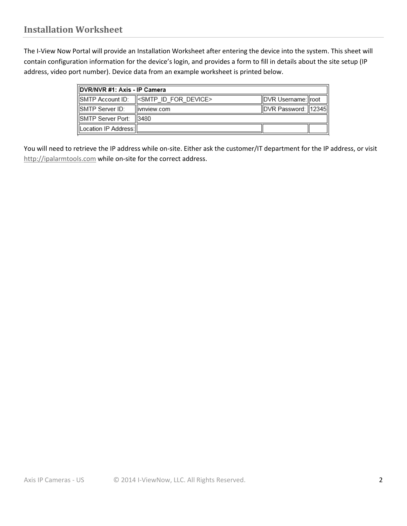The I-View Now Portal will provide an Installation Worksheet after entering the device into the system. This sheet will contain configuration information for the device's login, and provides a form to fill in details about the site setup (IP address, video port number). Device data from an example worksheet is printed below.

| DVR/NVR #1: Axis - IP Camera |                                               |                       |  |
|------------------------------|-----------------------------------------------|-----------------------|--|
|                              | SMTP Account ID: <a> </a> SMTP ID FOR DEVICE> | IDVR Username: Iroot  |  |
| SMTP Server ID:              | llivnview.com                                 | DVR Password:   12345 |  |
| SMTP Server Port:  3480      |                                               |                       |  |
| Location IP Address:         |                                               |                       |  |

You will need to retrieve the IP address while on-site. Either ask the customer/IT department for the IP address, or visit [http://i](http://whatismyip.org/)palarmtools.com while on-site for the correct address.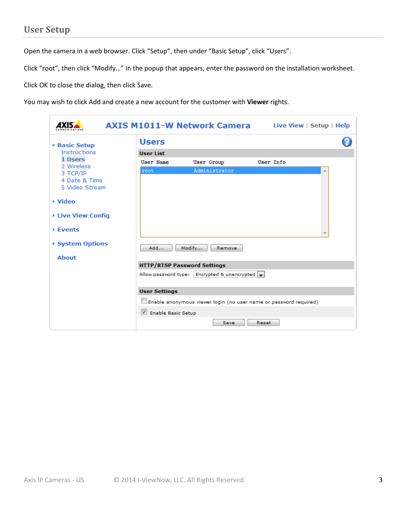Open the camera in a web browser. Click "Setup", then under "Basic Setup", click "Users".

Click "root", then click "Modify…" In the popup that appears, enter the password on the installation worksheet.

Click OK to close the dialog, then click Save.

You may wish to click Add and create a new account for the customer with **Viewer** rights.

| 1YK.                                        |                      | <b>AXIS M1011-W Network Camera</b>                                |           | Live View   Setup   Help |
|---------------------------------------------|----------------------|-------------------------------------------------------------------|-----------|--------------------------|
| <b>* Basic Setup</b><br><b>Instructions</b> | <b>Users</b>         |                                                                   |           |                          |
|                                             | <b>User List</b>     |                                                                   |           |                          |
| 1 Users<br>2 Wireless                       | <b>User Name</b>     | <b>User Group</b>                                                 | User Info |                          |
| 3 TCP/IP                                    | root                 | Administrator                                                     |           |                          |
| 4 Date & Time<br>5 Video Stream             |                      |                                                                   |           |                          |
| ▶ Video                                     |                      |                                                                   |           |                          |
| ▶ Live View Config                          |                      |                                                                   |           |                          |
| <b>▶ Events</b>                             |                      |                                                                   |           |                          |
| ▶ System Options                            | Add                  | Modify<br>Remove                                                  |           |                          |
| <b>About</b>                                |                      |                                                                   |           |                          |
|                                             |                      | <b>HTTP/RTSP Password Settings</b>                                |           |                          |
|                                             |                      | Allow password type:   Encrypted & unencrypted                    |           |                          |
|                                             | <b>User Settings</b> |                                                                   |           |                          |
|                                             |                      | Enable anonymous viewer login (no user name or password required) |           |                          |
|                                             | Enable Basic Setup   |                                                                   |           |                          |
|                                             |                      | Save                                                              | Reset     |                          |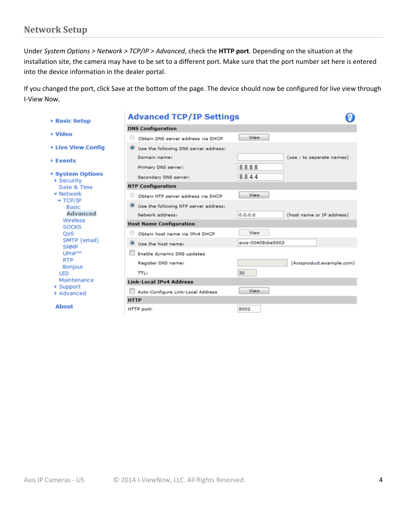#### **Network Setup**

Under *System Options > Network > TCP/IP > Advanced*, check the **HTTP port**. Depending on the situation at the installation site, the camera may have to be set to a different port. Make sure that the port number set here is entered into the device information in the dealer portal.

If you changed the port, click Save at the bottom of the page. The device should now be configured for live view through I-View Now.

| ▶ Basic Setup                                      | <b>Advanced TCP/IP Settings</b>       |                                      |  |  |  |
|----------------------------------------------------|---------------------------------------|--------------------------------------|--|--|--|
|                                                    | <b>DNS Configuration</b>              |                                      |  |  |  |
| ▶ Video                                            | Obtain DNS server address via DHCP    | <b>View</b>                          |  |  |  |
| ▶ Live View Config                                 | Use the following DNS server address: |                                      |  |  |  |
| <b>Events</b>                                      | Domain name:                          | (use ; to separate names)            |  |  |  |
|                                                    | Primary DNS server:                   | 8.8.8.8                              |  |  |  |
| ▼ System Options<br>$\blacktriangleright$ Security | Secondary DNS server:                 | 8844                                 |  |  |  |
| Date & Time                                        | <b>NTP Configuration</b>              |                                      |  |  |  |
| $\blacktriangleright$ Network                      | Obtain NTP server address via DHCP    | <b>View</b>                          |  |  |  |
| $\star$ TCP/IP<br><b>Basic</b>                     | Use the following NTP server address: |                                      |  |  |  |
| <b>Advanced</b>                                    | Network address:                      | 0.0.0.0<br>(host name or IP address) |  |  |  |
| Wireless<br><b>SOCKS</b>                           | <b>Host Name Configuration</b>        |                                      |  |  |  |
| QoS                                                | Obtain host name via IPv4 DHCP        | View                                 |  |  |  |
| SMTP (email)<br><b>SNMP</b>                        | $\bullet$<br>Use the host name:       | axis-00408cbe9303                    |  |  |  |
| UPnP <sub>TM</sub>                                 | Enable dynamic DNS updates            |                                      |  |  |  |
| <b>RTP</b><br><b>Bonjour</b>                       | Register DNS name:                    | (Axisproduct.example.com)            |  |  |  |
| LED                                                | <b>TTL:</b>                           | 30                                   |  |  |  |
| Maintenance                                        | <b>Link-Local IPv4 Address</b>        |                                      |  |  |  |
| ▶ Support<br>Advanced                              | Auto-Configure Link-Local Address     | <b>View</b>                          |  |  |  |
|                                                    | <b>HTTP</b>                           |                                      |  |  |  |
| <b>About</b>                                       | HTTP port:                            | 8002                                 |  |  |  |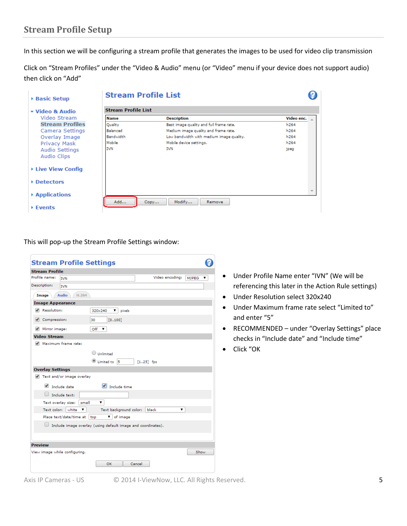### **Stream Profile Setup**

In this section we will be configuring a stream profile that generates the images to be used for video clip transmission

Click on "Stream Profiles" under the "Video & Audio" menu (or "Video" menu if your device does not support audio) then click on "Add"

| ▶ Basic Setup                 | <b>Stream Profile List</b> |                                          |                  |
|-------------------------------|----------------------------|------------------------------------------|------------------|
| ▼ Video & Audio               | <b>Stream Profile List</b> |                                          |                  |
| Video Stream                  | Name                       | <b>Description</b>                       | Video enc.       |
| <b>Stream Profiles</b>        | Quality                    | Best image quality and full frame rate.  | h264             |
| Camera Settings               | Balanced                   | Medium image quality and frame rate.     | h <sub>264</sub> |
| Overlay Image                 | <b>Bandwidth</b>           | Low bandwidth with medium image quality. | h264             |
| <b>Privacy Mask</b>           | Mobile                     | Mobile device settings.                  | h <sub>264</sub> |
| Audio Settings<br>Audio Clips | <b>IVN</b>                 | <b>IVN</b>                               | ipeg             |
| ▶ Live View Config            |                            |                                          |                  |
| ▶ Detectors                   |                            |                                          |                  |
| ▶ Applications                | Add                        | Modify<br>Copy<br>Remove                 |                  |
| $\triangleright$ Events       |                            |                                          |                  |

This will pop-up the Stream Profile Settings window:

|                         | <b>Stream Profile Settings</b>                               |                                |                        |             |                 |              |   |
|-------------------------|--------------------------------------------------------------|--------------------------------|------------------------|-------------|-----------------|--------------|---|
| <b>Stream Profile</b>   |                                                              |                                |                        |             |                 |              |   |
| Profile name:           | <b>TVN</b>                                                   |                                |                        |             | Video encoding: | <b>MIPEG</b> | ▼ |
| Description:            | <b>IVN</b>                                                   |                                |                        |             |                 |              |   |
| Image                   | H.264<br><b>Audio</b>                                        |                                |                        |             |                 |              |   |
| <b>Image Appearance</b> |                                                              |                                |                        |             |                 |              |   |
| Resolution:             |                                                              | 320×240                        | ▼<br>pixels            |             |                 |              |   |
| Compression:            |                                                              | 30                             | [0100]                 |             |                 |              |   |
| Mirror image:           |                                                              | Off<br>$\overline{\mathbf{v}}$ |                        |             |                 |              |   |
| <b>Video Stream</b>     |                                                              |                                |                        |             |                 |              |   |
| ✔                       | Maximum frame rate:                                          |                                |                        |             |                 |              |   |
|                         |                                                              | Unlimited                      |                        |             |                 |              |   |
|                         |                                                              | Limited to                     | 15                     | $[125]$ fps |                 |              |   |
| <b>Overlay Settings</b> |                                                              |                                |                        |             |                 |              |   |
|                         | Text and/or image overlay                                    |                                |                        |             |                 |              |   |
| ✔                       | Include date                                                 |                                | $\Box$ Include time    |             |                 |              |   |
| $\Box$                  | Include text:                                                |                                |                        |             |                 |              |   |
|                         | Text overlay size:<br>small                                  |                                |                        |             |                 |              |   |
| Text color:             | white<br>7                                                   |                                | Text background color: |             | black<br>▼      |              |   |
|                         | Place text/date/time at                                      | top                            | v of image             |             |                 |              |   |
|                         | Include image overlay (using default image and coordinates). |                                |                        |             |                 |              |   |
|                         |                                                              |                                |                        |             |                 |              |   |
| <b>Preview</b>          |                                                              |                                |                        |             |                 |              |   |
|                         | View image while configuring.                                |                                |                        |             |                 | Show         |   |
|                         |                                                              |                                | OK                     | Cancel      |                 |              |   |
|                         |                                                              |                                |                        |             |                 |              |   |

- Under Profile Name enter "IVN" (We will be referencing this later in the Action Rule settings)
- Under Resolution select 320x240
- Under Maximum frame rate select "Limited to" and enter "5"
- RECOMMENDED under "Overlay Settings" place checks in "Include date" and "Include time"
- Click "OK

Axis IP Cameras - US © 2014 I-ViewNow, LLC. All Rights Reserved. 5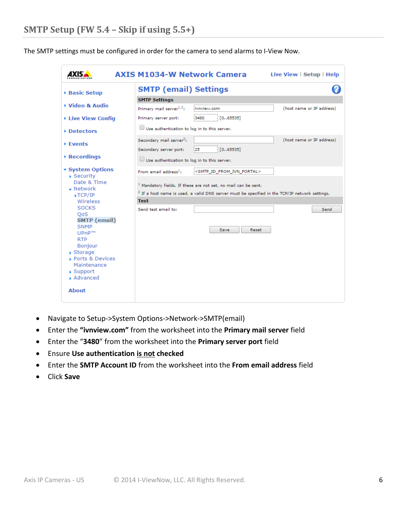The SMTP settings must be configured in order for the camera to send alarms to I-View Now.

|                                                                                                                                                            | <b>AXIS M1034-W Network Camera</b><br>Live View   Setup   Help                                                                                                                |
|------------------------------------------------------------------------------------------------------------------------------------------------------------|-------------------------------------------------------------------------------------------------------------------------------------------------------------------------------|
| <b>Basic Setup</b>                                                                                                                                         | <b>SMTP (email) Settings</b>                                                                                                                                                  |
|                                                                                                                                                            | <b>SMTP Settings</b>                                                                                                                                                          |
| ▶ Video & Audio                                                                                                                                            | Primary mail server $1,2$ :<br>(host name or IP address)<br>ivnview.com                                                                                                       |
| ▶ Live View Config                                                                                                                                         | 3480<br>[0.65535]<br>Primary server port:                                                                                                                                     |
| Detectors                                                                                                                                                  | Use authentication to log in to this server.                                                                                                                                  |
| ▶ Events<br>$\triangleright$ Recordings                                                                                                                    | (host name or IP address)<br>Secondary mail server <sup>2</sup> :<br>[065535]<br>Secondary server port:<br>25                                                                 |
|                                                                                                                                                            | Use authentication to log in to this server.                                                                                                                                  |
| ▼ System Options                                                                                                                                           | From email address <sup>1</sup> :<br><smtp_id_from_ivn_portal></smtp_id_from_ivn_portal>                                                                                      |
| $\overline{\phantom{a}}$ Security<br>Date & Time<br>$\bullet$ Network<br>$\blacktriangleright$ TCP/IP                                                      | $1$ Mandatory fields. If these are not set, no mail can be sent.<br><sup>2</sup> If a host name is used, a valid DNS server must be specified in the TCP/IP network settings. |
| Wireless                                                                                                                                                   | <b>Test</b>                                                                                                                                                                   |
| <b>SOCKS</b><br><b>OoS</b><br><b>SMTP</b> (email)<br><b>SNMP</b><br>UPnP™<br><b>RTP</b><br><b>Bonjour</b><br>$\triangleright$ Storage<br>▶ Ports & Devices | Send test email to:<br>Send<br><b>Save</b><br>Reset                                                                                                                           |
| Maintenance<br>$\blacktriangleright$ Support<br>Advanced<br><b>About</b>                                                                                   |                                                                                                                                                                               |

- Navigate to Setup->System Options->Network->SMTP(email)
- Enter the **"ivnview.com"** from the worksheet into the **Primary mail server** field
- Enter the "**3480**" from the worksheet into the **Primary server port** field
- Ensure **Use authentication is not checked**
- Enter the **SMTP Account ID** from the worksheet into the **From email address** field
- Click **Save**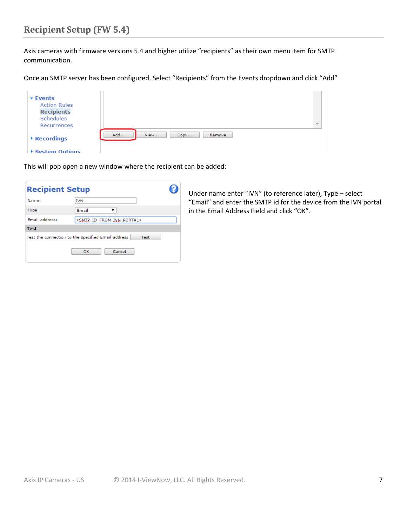# **Recipient Setup (FW 5.4)**

Axis cameras with firmware versions 5.4 and higher utilize "recipients" as their own menu item for SMTP communication.

Once an SMTP server has been configured, Select "Recipients" from the Events dropdown and click "Add"

| $\overline{\phantom{a}}$ Events |                               |                          |
|---------------------------------|-------------------------------|--------------------------|
| <b>Action Rules</b>             |                               |                          |
| <b>Recipients</b>               |                               |                          |
| Schedules                       |                               |                          |
| Recurrences                     |                               | $\overline{\phantom{a}}$ |
| $\rightarrow$ Recordings        | Add<br>View<br>Remove<br>Copy |                          |
| ▶ System Ontions                |                               |                          |

This will pop open a new window where the recipient can be added:

| <b>Recipient Setup</b> |                                                            |  |
|------------------------|------------------------------------------------------------|--|
| Name:                  | <b>IVN</b>                                                 |  |
| Type:                  | Email                                                      |  |
| Email address:         | <smtp_id_from_ivn_portal></smtp_id_from_ivn_portal>        |  |
| <b>Test</b>            |                                                            |  |
|                        | Test the connection to the specified Email address<br>Test |  |
|                        | Cancel<br>OK                                               |  |

Under name enter "IVN" (to reference later), Type – select "Email" and enter the SMTP id for the device from the IVN portal in the Email Address Field and click "OK".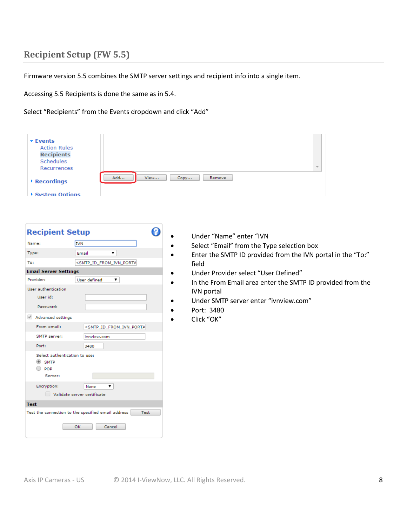## **Recipient Setup (FW 5.5)**

Firmware version 5.5 combines the SMTP server settings and recipient info into a single item.

Accessing 5.5 Recipients is done the same as in 5.4.

Select "Recipients" from the Events dropdown and click "Add"

| $\overline{\phantom{a}}$ Events |                               |                          |
|---------------------------------|-------------------------------|--------------------------|
| <b>Action Rules</b>             |                               |                          |
| <b>Recipients</b>               |                               |                          |
| Schedules                       |                               |                          |
| Recurrences                     |                               | $\overline{\phantom{a}}$ |
| $\triangleright$ Recordings     | Add<br>View<br>Remove<br>Copy |                          |
| ▶ System Options                |                               |                          |

| <b>Recipient Setup</b>                                                        |                                                                   |
|-------------------------------------------------------------------------------|-------------------------------------------------------------------|
| Name:                                                                         | <b>IVN</b>                                                        |
| Type:                                                                         | Email<br>▼                                                        |
| To:                                                                           | <smtp_id_from_ivn_porta< td=""></smtp_id_from_ivn_porta<>         |
| <b>Email Server Settings</b>                                                  |                                                                   |
| Provider:                                                                     | User defined<br>▼                                                 |
| User authentication                                                           |                                                                   |
| User id:                                                                      |                                                                   |
| Password:                                                                     |                                                                   |
| Advanced settings                                                             |                                                                   |
| From email:                                                                   | <smtp_id_from_ivn_porta< td=""></smtp_id_from_ivn_porta<>         |
| SMTP server:                                                                  | ivnview.com                                                       |
| Port:                                                                         | 3480                                                              |
| Select authentication to use:<br>$@$ SMTP<br>$\bigcirc$ pop<br><b>Server:</b> |                                                                   |
| Encryption:                                                                   | None                                                              |
|                                                                               | Validate server certificate                                       |
| <b>Test</b>                                                                   |                                                                   |
|                                                                               | Test the connection to the specified email address<br><b>Test</b> |
|                                                                               | Cancel<br>OK                                                      |

- Under "Name" enter "IVN
- Select "Email" from the Type selection box
- Enter the SMTP ID provided from the IVN portal in the "To:" field
	- Under Provider select "User Defined"
- In the From Email area enter the SMTP ID provided from the IVN portal
- Under SMTP server enter "ivnview.com"
	- Port: 3480
	- Click "OK"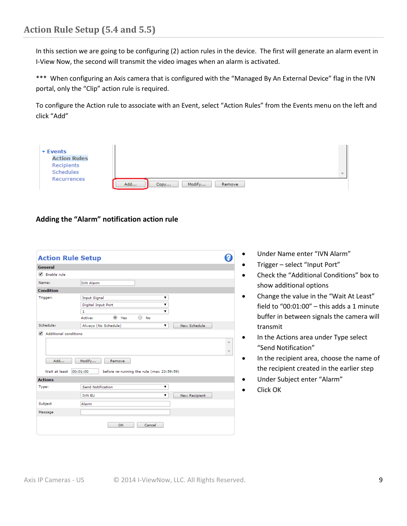In this section we are going to be configuring (2) action rules in the device. The first will generate an alarm event in I-View Now, the second will transmit the video images when an alarm is activated.

\*\*\* When configuring an Axis camera that is configured with the "Managed By An External Device" flag in the IVN portal, only the "Clip" action rule is required.

To configure the Action rule to associate with an Event, select "Action Rules" from the Events menu on the left and click "Add"

| <b>Events</b>       |                                 |        |
|---------------------|---------------------------------|--------|
| <b>Action Rules</b> |                                 |        |
| Recipients          |                                 |        |
| Schedules           |                                 | $\sim$ |
| Recurrences         | Add<br>Modify<br>Remove<br>Copy |        |

#### **Adding the "Alarm" notification action rule**

| <b>Action Rule Setup</b>                          |                                                       |                          |
|---------------------------------------------------|-------------------------------------------------------|--------------------------|
| General                                           |                                                       |                          |
| $\blacktriangleright$ Enable rule                 |                                                       |                          |
| Name:                                             | <b>IVN Alarm</b>                                      |                          |
| <b>Condition</b>                                  |                                                       |                          |
| Trigger:                                          | <b>Input Signal</b><br>۷.                             |                          |
|                                                   | Digital Input Port<br>▼                               |                          |
|                                                   | 1                                                     |                          |
|                                                   | (a) Yes<br><b>No</b><br>Active:                       |                          |
| Schedule:                                         | New Schedule<br>Always (No Schedule)<br>۷.            |                          |
| $\overline{\mathscr{L}}$<br>Additional conditions |                                                       |                          |
|                                                   |                                                       | ∸                        |
|                                                   |                                                       |                          |
|                                                   |                                                       | $\overline{\phantom{a}}$ |
| Add                                               | Modify<br>Remove                                      |                          |
| Wait at least                                     | 00:01:00<br>before re-running the rule (max 23:59:59) |                          |
| <b>Actions</b>                                    |                                                       |                          |
| Type:                                             | <b>Send Notification</b><br>۷.                        |                          |
|                                                   | <b>IVN EU</b><br>۷.<br><b>New Recipient</b>           |                          |
| Subject                                           | Alarm                                                 |                          |
| Message                                           |                                                       |                          |
|                                                   | Cancel<br><b>OK</b>                                   |                          |

- Under Name enter "IVN Alarm"
- Trigger select "Input Port"
- Check the "Additional Conditions" box to show additional options
- Change the value in the "Wait At Least" field to "00:01:00" – this adds a 1 minute buffer in between signals the camera will transmit
- In the Actions area under Type select "Send Notification"
- In the recipient area, choose the name of the recipient created in the earlier step
- Under Subject enter "Alarm"
- Click OK